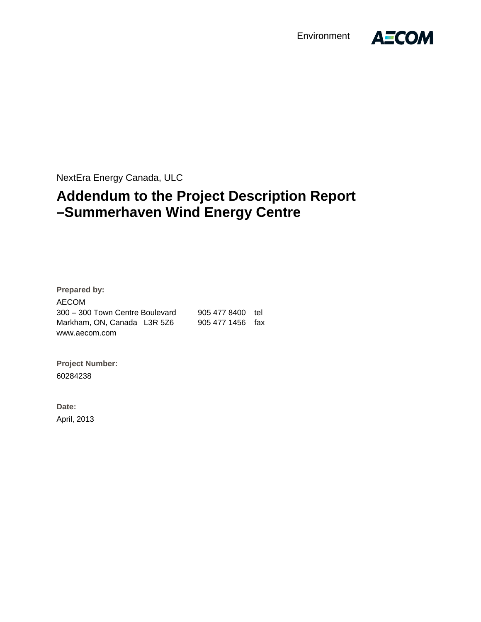Environment



NextEra Energy Canada, ULC

## **Addendum to the Project Description Report –Summerhaven Wind Energy Centre**

**Prepared by:**  AECOM 300 – 300 Town Centre Boulevard 905 477 8400 tel Markham, ON, Canada L3R 5Z6 905 477 1456 fax www.aecom.com

**Project Number:**  60284238

**Date:**  April, 2013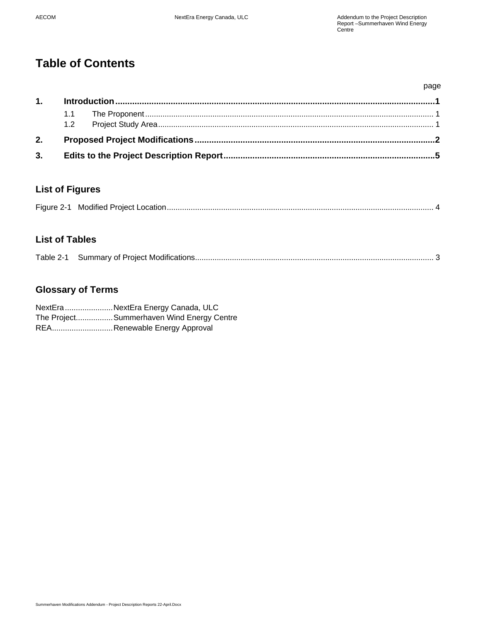## **Table of Contents**

| 3. |  |  |      |  |
|----|--|--|------|--|
| 2. |  |  |      |  |
|    |  |  |      |  |
| 1. |  |  |      |  |
|    |  |  | page |  |

#### **List of Figures**

|--|--|--|

### **List of Tables**

| Table 2-1 |  |  |
|-----------|--|--|
|-----------|--|--|

## **Glossary of Terms**

| NextEraNextEra Energy Canada, ULC          |
|--------------------------------------------|
| The Project Summerhaven Wind Energy Centre |
| REARenewable Energy Approval               |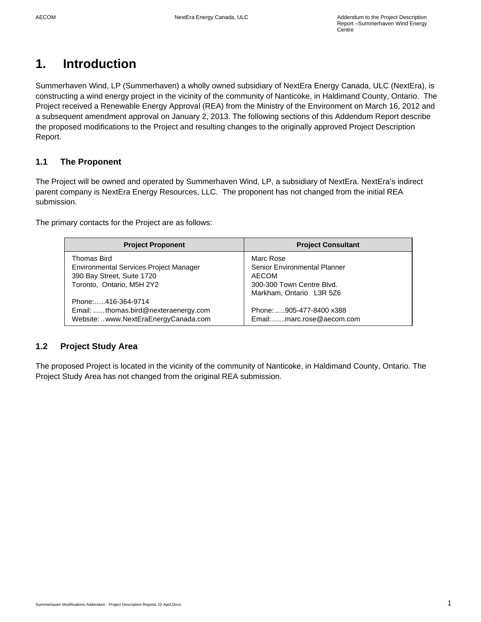## **1. Introduction**

Summerhaven Wind, LP (Summerhaven) a wholly owned subsidiary of NextEra Energy Canada, ULC (NextEra), is constructing a wind energy project in the vicinity of the community of Nanticoke, in Haldimand County, Ontario. The Project received a Renewable Energy Approval (REA) from the Ministry of the Environment on March 16, 2012 and a subsequent amendment approval on January 2, 2013. The following sections of this Addendum Report describe the proposed modifications to the Project and resulting changes to the originally approved Project Description Report.

#### **1.1 The Proponent**

The Project will be owned and operated by Summerhaven Wind, LP, a subsidiary of NextEra. NextEra's indirect parent company is NextEra Energy Resources, LLC. The proponent has not changed from the initial REA submission.

The primary contacts for the Project are as follows:

| <b>Project Proponent</b>               | <b>Project Consultant</b>           |
|----------------------------------------|-------------------------------------|
| Thomas Bird                            | Marc Rose                           |
| Environmental Services Project Manager | <b>Senior Environmental Planner</b> |
| 390 Bay Street, Suite 1720             | <b>AECOM</b>                        |
| Toronto, Ontario, M5H 2Y2              | 300-300 Town Centre Blvd.           |
|                                        | Markham, Ontario L3R 5Z6            |
| Phone:416-364-9714                     |                                     |
| Email: thomas.bird@nexteraenergy.com   | Phone: 905-477-8400 x388            |
| Website: www.NextEraEnergyCanada.com   | Email:marc.rose@aecom.com           |

#### **1.2 Project Study Area**

The proposed Project is located in the vicinity of the community of Nanticoke, in Haldimand County, Ontario. The Project Study Area has not changed from the original REA submission.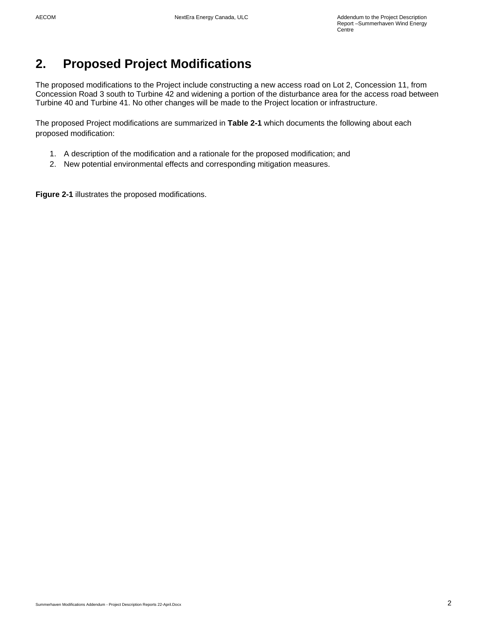## **2. Proposed Project Modifications**

The proposed modifications to the Project include constructing a new access road on Lot 2, Concession 11, from Concession Road 3 south to Turbine 42 and widening a portion of the disturbance area for the access road between Turbine 40 and Turbine 41. No other changes will be made to the Project location or infrastructure.

The proposed Project modifications are summarized in **Table 2-1** which documents the following about each proposed modification:

- 1. A description of the modification and a rationale for the proposed modification; and
- 2. New potential environmental effects and corresponding mitigation measures.

**Figure 2-1** illustrates the proposed modifications.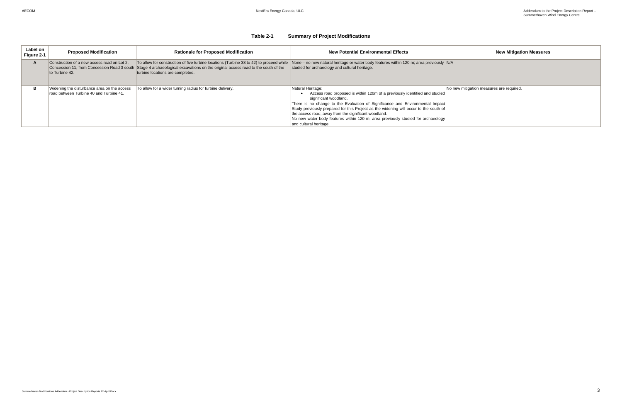#### **Table 2-1 Summary of Project Modifications**

| Label on<br>Figure 2-1 | <b>Proposed Modification</b>                                                           | <b>Rationale for Proposed Modification</b>                                                                                                                                                                                                                    | <b>New Potential Environmental Effects</b>                                                                                                                                                                                                                                                                                                                                                                                                                               | <b>New Mitigation Measures</b>           |
|------------------------|----------------------------------------------------------------------------------------|---------------------------------------------------------------------------------------------------------------------------------------------------------------------------------------------------------------------------------------------------------------|--------------------------------------------------------------------------------------------------------------------------------------------------------------------------------------------------------------------------------------------------------------------------------------------------------------------------------------------------------------------------------------------------------------------------------------------------------------------------|------------------------------------------|
|                        | Construction of a new access road on Lot 2,<br>to Turbine 42.                          | To allow for construction of five turbine locations (Turbine 38 to 42) to proceed while<br>Concession 11, from Concession Road 3 south Stage 4 archaeological excavations on the original access road to the south of the<br>turbine locations are completed. | None – no new natural heritage or water body features within 120 m; area previously N/A<br>studied for archaeology and cultural heritage.                                                                                                                                                                                                                                                                                                                                |                                          |
|                        | Widening the disturbance area on the access<br>road between Turbine 40 and Turbine 41. | To allow for a wider turning radius for turbine delivery.                                                                                                                                                                                                     | Natural Heritage:<br>Access road proposed is within 120m of a previously identified and studied<br>significant woodland.<br>There is no change to the Evaluation of Significance and Environmental Impact<br>Study previously prepared for this Project as the widening will occur to the south of<br>the access road, away from the significant woodland.<br>No new water body features within 120 m; area previously studied for archaeology<br>and cultural heritage. | No new mitigation measures are required. |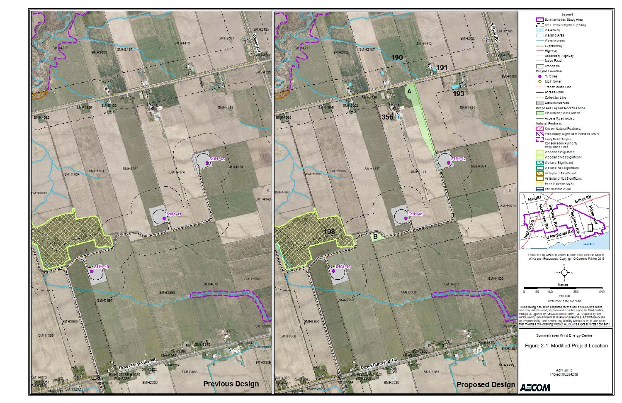